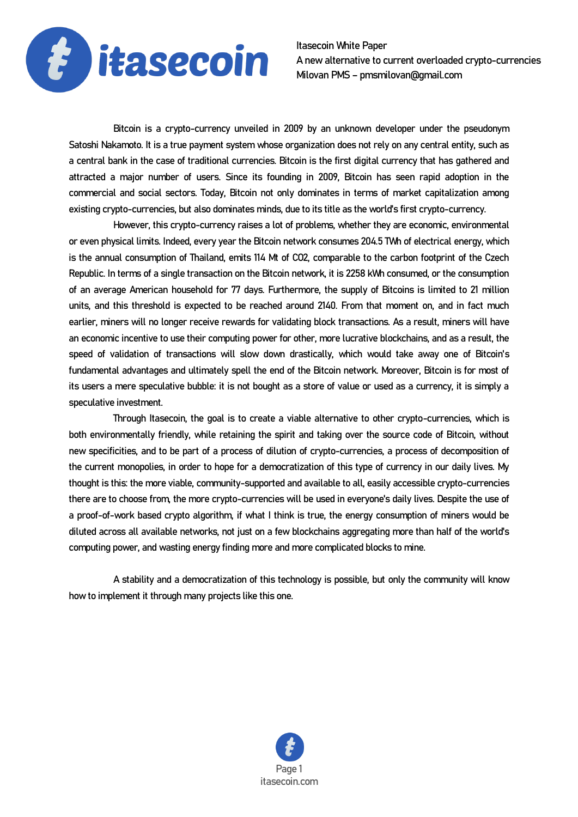

Itasecoin White Paper A new alternative to current overloaded crypto-currencies Milovan PMS – pmsmilovan@gmail.com

Bitcoin is a crypto-currency unveiled in 2009 by an unknown developer under the pseudonym Satoshi Nakamoto. It is a true payment system whose organization does not rely on any central entity, such as a central bank in the case of traditional currencies. Bitcoin is the first digital currency that has gathered and attracted a major number of users. Since its founding in 2009, Bitcoin has seen rapid adoption in the commercial and social sectors. Today, Bitcoin not only dominates in terms of market capitalization among existing crypto-currencies, but also dominates minds, due to its title as the world's first crypto-currency.

 However, this crypto-currency raises a lot of problems, whether they are economic, environmental or even physical limits. Indeed, every year the Bitcoin network consumes 204.5 TWh of electrical energy, which is the annual consumption of Thailand, emits 114 Mt of CO2, comparable to the carbon footprint of the Czech Republic. In terms of a single transaction on the Bitcoin network, it is 2258 kWh consumed, or the consumption of an average American household for 77 days. Furthermore, the supply of Bitcoins is limited to 21 million units, and this threshold is expected to be reached around 2140. From that moment on, and in fact much earlier, miners will no longer receive rewards for validating block transactions. As a result, miners will have an economic incentive to use their computing power for other, more lucrative blockchains, and as a result, the speed of validation of transactions will slow down drastically, which would take away one of Bitcoin's fundamental advantages and ultimately spell the end of the Bitcoin network. Moreover, Bitcoin is for most of its users a mere speculative bubble: it is not bought as a store of value or used as a currency, it is simply a speculative investment.

 Through Itasecoin, the goal is to create a viable alternative to other crypto-currencies, which is both environmentally friendly, while retaining the spirit and taking over the source code of Bitcoin, without new specificities, and to be part of a process of dilution of crypto-currencies, a process of decomposition of the current monopolies, in order to hope for a democratization of this type of currency in our daily lives. My thought is this: the more viable, community-supported and available to all, easily accessible crypto-currencies there are to choose from, the more crypto-currencies will be used in everyone's daily lives. Despite the use of a proof-of-work based crypto algorithm, if what I think is true, the energy consumption of miners would be diluted across all available networks, not just on a few blockchains aggregating more than half of the world's computing power, and wasting energy finding more and more complicated blocks to mine.

 A stability and a democratization of this technology is possible, but only the community will know how to implement it through many projects like this one.

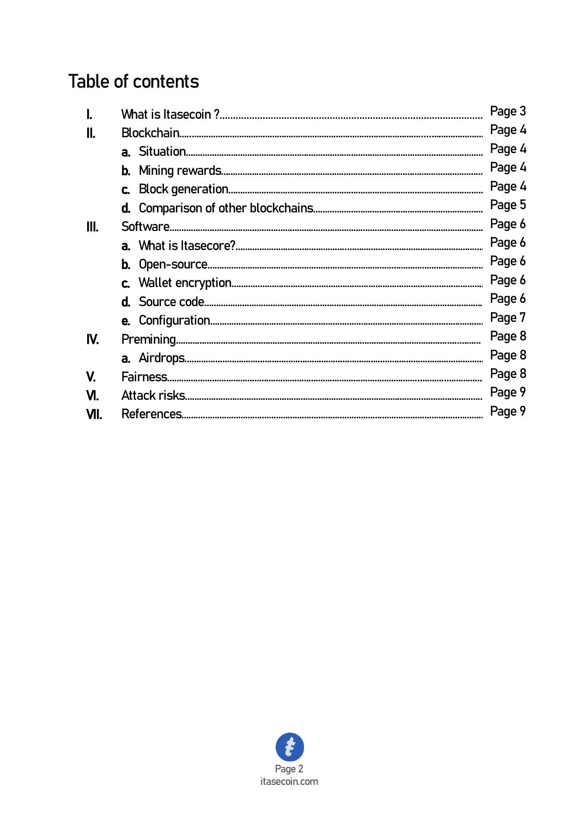# Table of contents

|      |  | Page 3 |
|------|--|--------|
|      |  |        |
|      |  | Page 4 |
|      |  | Page 4 |
|      |  | Page 4 |
|      |  | Page 5 |
| III. |  | Page 6 |
|      |  | Page 6 |
|      |  | Page 6 |
|      |  | Page 6 |
|      |  | Page 6 |
|      |  | Page 7 |
| IV.  |  | Page 8 |
|      |  | Page 8 |
| V.   |  | Page 8 |
| M.   |  | Page 9 |
| VII. |  |        |
|      |  | Page 9 |

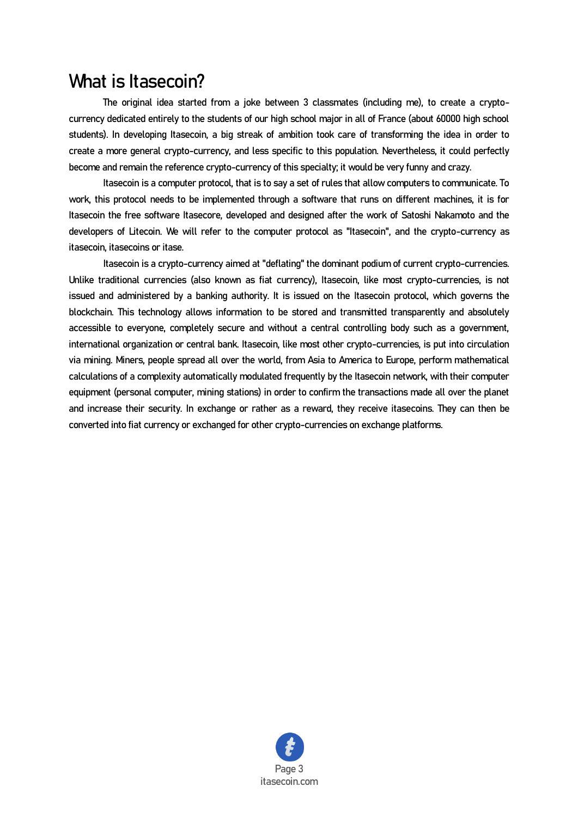### What is Itasecoin?

The original idea started from a joke between 3 classmates (including me), to create a cryptocurrency dedicated entirely to the students of our high school major in all of France (about 60000 high school students). In developing Itasecoin, a big streak of ambition took care of transforming the idea in order to create a more general crypto-currency, and less specific to this population. Nevertheless, it could perfectly become and remain the reference crypto-currency of this specialty; it would be very funny and crazy.

Itasecoin is a computer protocol, that is to say a set of rules that allow computers to communicate. To work, this protocol needs to be implemented through a software that runs on different machines, it is for Itasecoin the free software Itasecore, developed and designed after the work of Satoshi Nakamoto and the developers of Litecoin. We will refer to the computer protocol as "Itasecoin", and the crypto-currency as itasecoin, itasecoins or itase.

Itasecoin is a crypto-currency aimed at "deflating" the dominant podium of current crypto-currencies. Unlike traditional currencies (also known as fiat currency), Itasecoin, like most crypto-currencies, is not issued and administered by a banking authority. It is issued on the Itasecoin protocol, which governs the blockchain. This technology allows information to be stored and transmitted transparently and absolutely accessible to everyone, completely secure and without a central controlling body such as a government, international organization or central bank. Itasecoin, like most other crypto-currencies, is put into circulation via mining. Miners, people spread all over the world, from Asia to America to Europe, perform mathematical calculations of a complexity automatically modulated frequently by the Itasecoin network, with their computer equipment (personal computer, mining stations) in order to confirm the transactions made all over the planet and increase their security. In exchange or rather as a reward, they receive itasecoins. They can then be converted into fiat currency or exchanged for other crypto-currencies on exchange platforms.

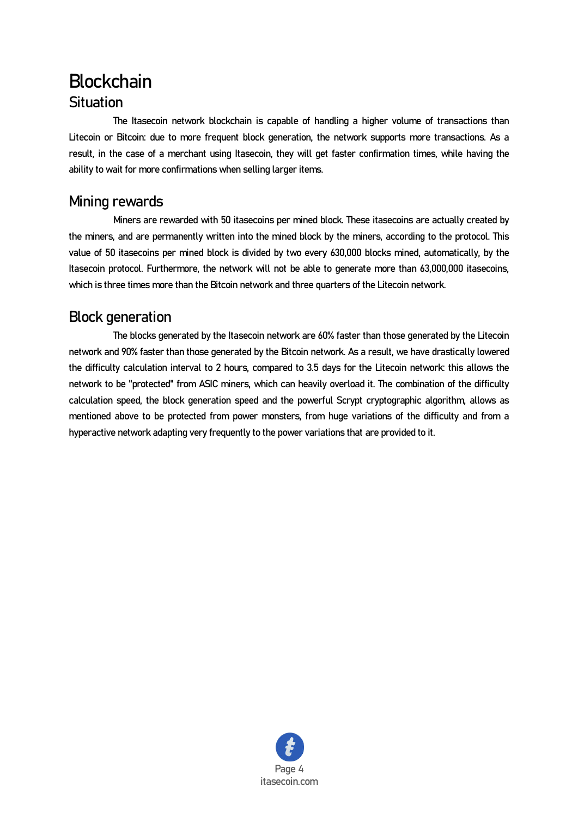## **Blockchain Situation**

 The Itasecoin network blockchain is capable of handling a higher volume of transactions than Litecoin or Bitcoin: due to more frequent block generation, the network supports more transactions. As a result, in the case of a merchant using Itasecoin, they will get faster confirmation times, while having the ability to wait for more confirmations when selling larger items.

#### Mining rewards

 Miners are rewarded with 50 itasecoins per mined block. These itasecoins are actually created by the miners, and are permanently written into the mined block by the miners, according to the protocol. This value of 50 itasecoins per mined block is divided by two every 630,000 blocks mined, automatically, by the Itasecoin protocol. Furthermore, the network will not be able to generate more than 63,000,000 itasecoins, which is three times more than the Bitcoin network and three quarters of the Litecoin network.

### Block generation

 The blocks generated by the Itasecoin network are 60% faster than those generated by the Litecoin network and 90% faster than those generated by the Bitcoin network. As a result, we have drastically lowered the difficulty calculation interval to 2 hours, compared to 3.5 days for the Litecoin network: this allows the network to be "protected" from ASIC miners, which can heavily overload it. The combination of the difficulty calculation speed, the block generation speed and the powerful Scrypt cryptographic algorithm, allows as mentioned above to be protected from power monsters, from huge variations of the difficulty and from a hyperactive network adapting very frequently to the power variations that are provided to it.

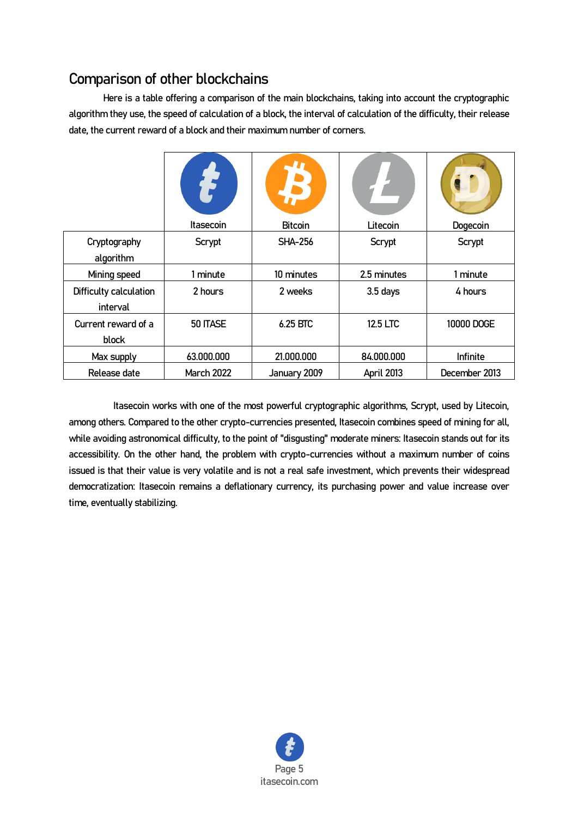### Comparison of other blockchains

Here is a table offering a comparison of the main blockchains, taking into account the cryptographic algorithm they use, the speed of calculation of a block, the interval of calculation of the difficulty, their release date, the current reward of a block and their maximum number of corners.

|                                    | Itasecoin         | <b>Bitcoin</b> | Litecoin    | Dogecoin      |
|------------------------------------|-------------------|----------------|-------------|---------------|
| Cryptography<br>algorithm          | Scrypt            | <b>SHA-256</b> | Scrypt      | Scrypt        |
| Mining speed                       | 1 minute          | 10 minutes     | 2.5 minutes | 1 minute      |
| Difficulty calculation<br>interval | 2 hours           | 2 weeks        | $3.5$ days  | 4 hours       |
| Current reward of a<br>block       | 50 ITASE          | 6.25 BTC       | 12.5 LTC    | 10000 DOGE    |
| Max supply                         | 63.000.000        | 21.000.000     | 84.000.000  | Infinite      |
| Release date                       | <b>March 2022</b> | January 2009   | April 2013  | December 2013 |

 Itasecoin works with one of the most powerful cryptographic algorithms, Scrypt, used by Litecoin, among others. Compared to the other crypto-currencies presented, Itasecoin combines speed of mining for all, while avoiding astronomical difficulty, to the point of "disgusting" moderate miners: Itasecoin stands out for its accessibility. On the other hand, the problem with crypto-currencies without a maximum number of coins issued is that their value is very volatile and is not a real safe investment, which prevents their widespread democratization: Itasecoin remains a deflationary currency, its purchasing power and value increase over time, eventually stabilizing.

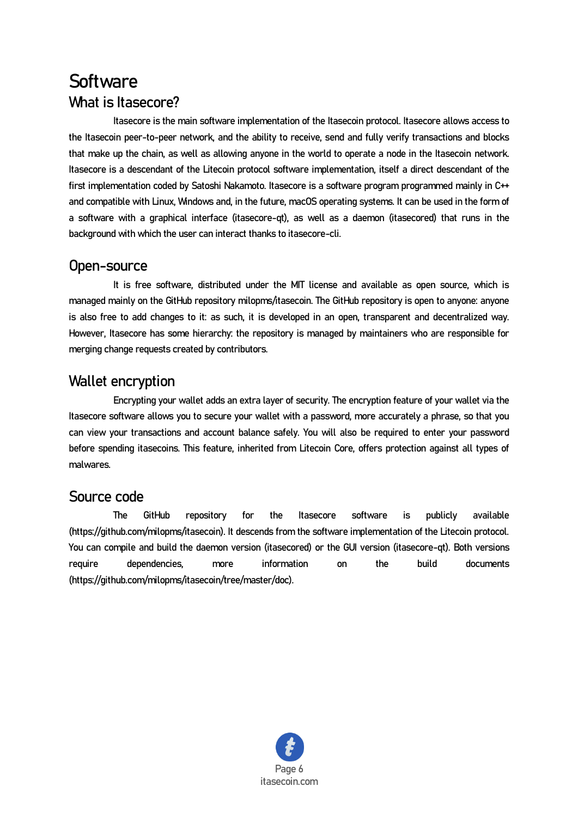# **Software** What is Itasecore?

 Itasecore is the main software implementation of the Itasecoin protocol. Itasecore allows access to the Itasecoin peer-to-peer network, and the ability to receive, send and fully verify transactions and blocks that make up the chain, as well as allowing anyone in the world to operate a node in the Itasecoin network. Itasecore is a descendant of the Litecoin protocol software implementation, itself a direct descendant of the first implementation coded by Satoshi Nakamoto. Itasecore is a software program programmed mainly in C++ and compatible with Linux, Windows and, in the future, macOS operating systems. It can be used in the form of a software with a graphical interface (itasecore-qt), as well as a daemon (itasecored) that runs in the background with which the user can interact thanks to itasecore-cli.

#### Open-source

 It is free software, distributed under the MIT license and available as open source, which is managed mainly on the GitHub repository milopms/itasecoin. The GitHub repository is open to anyone: anyone is also free to add changes to it: as such, it is developed in an open, transparent and decentralized way. However, Itasecore has some hierarchy: the repository is managed by maintainers who are responsible for merging change requests created by contributors.

#### Wallet encryption

Encrypting your wallet adds an extra layer of security. The encryption feature of your wallet via the Itasecore software allows you to secure your wallet with a password, more accurately a phrase, so that you can view your transactions and account balance safely. You will also be required to enter your password before spending itasecoins. This feature, inherited from Litecoin Core, offers protection against all types of malwares.

#### Source code

 The GitHub repository for the Itasecore software is publicly available (https://github.com/milopms/itasecoin). It descends from the software implementation of the Litecoin protocol. You can compile and build the daemon version (itasecored) or the GUI version (itasecore-qt). Both versions require dependencies, more information on the build documents (https://github.com/milopms/itasecoin/tree/master/doc).

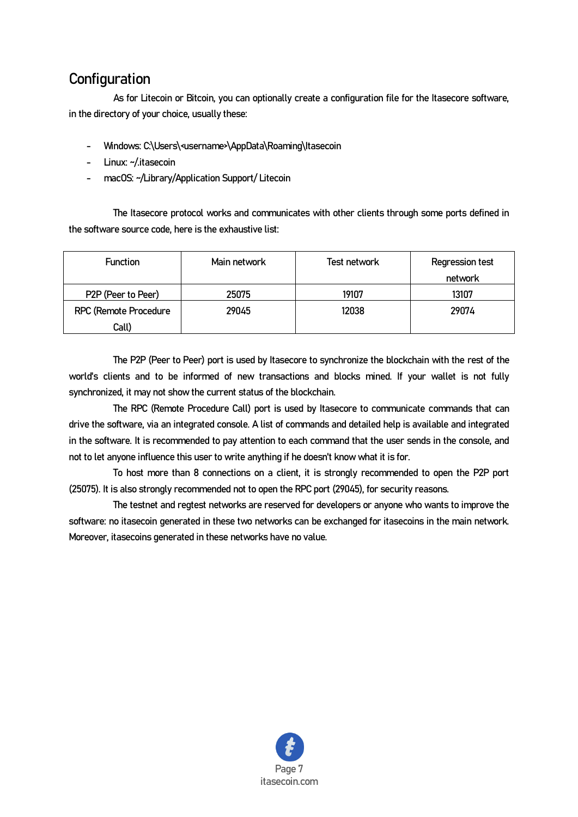#### **Configuration**

 As for Litecoin or Bitcoin, you can optionally create a configuration file for the Itasecore software, in the directory of your choice, usually these:

- Windows: C:\Users\<username>\AppData\Roaming\Itasecoin
- Linux: ~/.itasecoin
- macOS: ~/Library/Application Support/ Litecoin

The Itasecore protocol works and communicates with other clients through some ports defined in the software source code, here is the exhaustive list:

| <b>Function</b>       | Main network | Test network | <b>Regression test</b><br>network |
|-----------------------|--------------|--------------|-----------------------------------|
| P2P (Peer to Peer)    | 25075        | 19107        | 13107                             |
| RPC (Remote Procedure | 29045        | 12038        | 29074                             |
| Call)                 |              |              |                                   |

 The P2P (Peer to Peer) port is used by Itasecore to synchronize the blockchain with the rest of the world's clients and to be informed of new transactions and blocks mined. If your wallet is not fully synchronized, it may not show the current status of the blockchain.

 The RPC (Remote Procedure Call) port is used by Itasecore to communicate commands that can drive the software, via an integrated console. A list of commands and detailed help is available and integrated in the software. It is recommended to pay attention to each command that the user sends in the console, and not to let anyone influence this user to write anything if he doesn't know what it is for.

 To host more than 8 connections on a client, it is strongly recommended to open the P2P port (25075). It is also strongly recommended not to open the RPC port (29045), for security reasons.

 The testnet and regtest networks are reserved for developers or anyone who wants to improve the software: no itasecoin generated in these two networks can be exchanged for itasecoins in the main network. Moreover, itasecoins generated in these networks have no value.

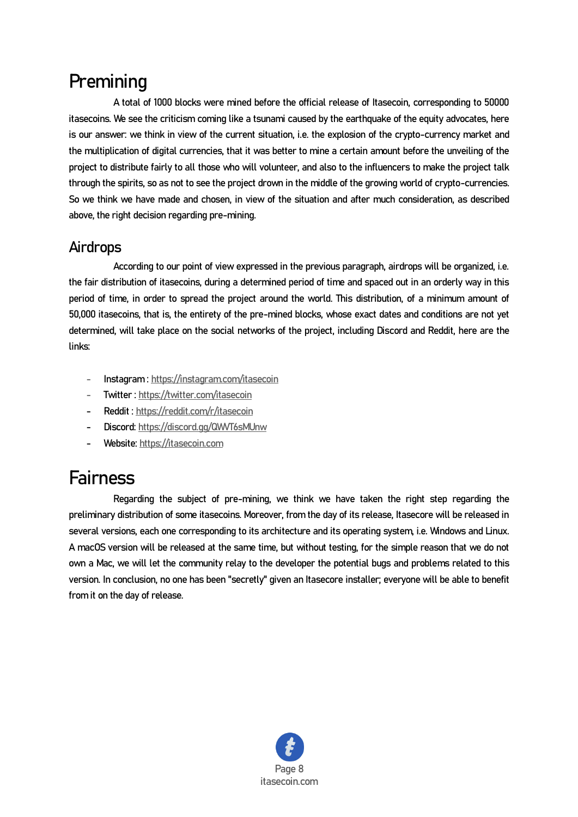# **Premining**

A total of 1000 blocks were mined before the official release of Itasecoin, corresponding to 50000 itasecoins. We see the criticism coming like a tsunami caused by the earthquake of the equity advocates, here is our answer: we think in view of the current situation, i.e. the explosion of the crypto-currency market and the multiplication of digital currencies, that it was better to mine a certain amount before the unveiling of the project to distribute fairly to all those who will volunteer, and also to the influencers to make the project talk through the spirits, so as not to see the project drown in the middle of the growing world of crypto-currencies. So we think we have made and chosen, in view of the situation and after much consideration, as described above, the right decision regarding pre-mining.

#### **Airdrops**

 According to our point of view expressed in the previous paragraph, airdrops will be organized, i.e. the fair distribution of itasecoins, during a determined period of time and spaced out in an orderly way in this period of time, in order to spread the project around the world. This distribution, of a minimum amount of 50,000 itasecoins, that is, the entirety of the pre-mined blocks, whose exact dates and conditions are not yet determined, will take place on the social networks of the project, including Discord and Reddit, here are the links:

- Instagram [: https://instagram.com/itasecoin](https://instagram.com/itasecoin)
- Twitter [: https://twitter.com/itasecoin](https://twitter.com/itasecoin)
- Reddit :<https://reddit.com/r/itasecoin>
- Discord[: https://discord.gg/QWVT6sMUnw](https://discord.gg/QWVT6sMUnw)
- Website[: https://itasecoin.com](https://itasecoin.com/)

# Fairness

Regarding the subject of pre-mining, we think we have taken the right step regarding the preliminary distribution of some itasecoins. Moreover, from the day of its release, Itasecore will be released in several versions, each one corresponding to its architecture and its operating system, i.e. Windows and Linux. A macOS version will be released at the same time, but without testing, for the simple reason that we do not own a Mac, we will let the community relay to the developer the potential bugs and problems related to this version. In conclusion, no one has been "secretly" given an Itasecore installer; everyone will be able to benefit from it on the day of release.